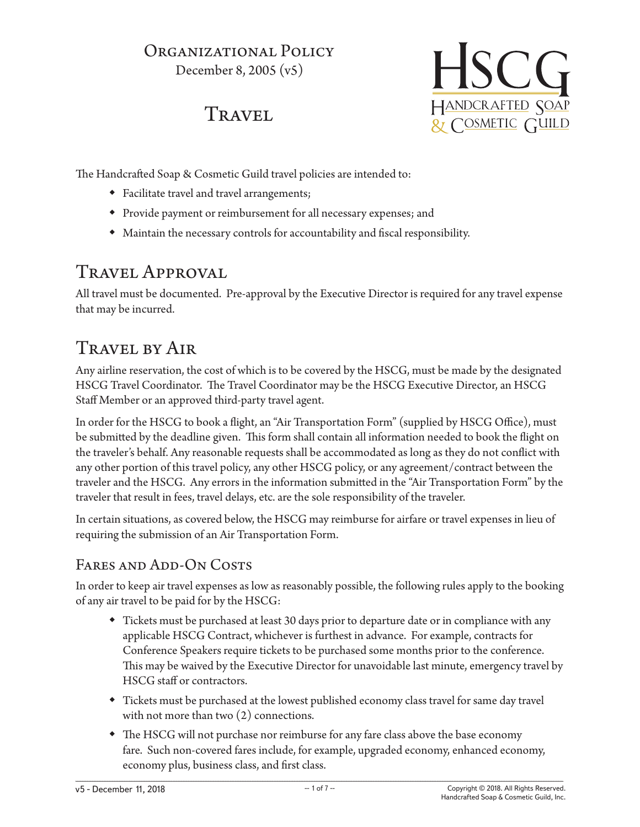### ORGANIZATIONAL POLICY December 8, 2005 (v5)

## **TRAVEL**



The Handcrafted Soap & Cosmetic Guild travel policies are intended to:

- Facilitate travel and travel arrangements;
- Provide payment or reimbursement for all necessary expenses; and
- Maintain the necessary controls for accountability and fiscal responsibility.

### Travel Approval

All travel must be documented. Pre-approval by the Executive Director is required for any travel expense that may be incurred.

# Travel by Air

Any airline reservation, the cost of which is to be covered by the HSCG, must be made by the designated HSCG Travel Coordinator. The Travel Coordinator may be the HSCG Executive Director, an HSCG Staff Member or an approved third-party travel agent.

In order for the HSCG to book a flight, an "Air Transportation Form" (supplied by HSCG Office), must be submitted by the deadline given. This form shall contain all information needed to book the flight on the traveler's behalf. Any reasonable requests shall be accommodated as long as they do not conflict with any other portion of this travel policy, any other HSCG policy, or any agreement/contract between the traveler and the HSCG. Any errors in the information submitted in the "Air Transportation Form" by the traveler that result in fees, travel delays, etc. are the sole responsibility of the traveler.

In certain situations, as covered below, the HSCG may reimburse for airfare or travel expenses in lieu of requiring the submission of an Air Transportation Form.

### FARES AND ADD-ON COSTS

In order to keep air travel expenses as low as reasonably possible, the following rules apply to the booking of any air travel to be paid for by the HSCG:

- Tickets must be purchased at least 30 days prior to departure date or in compliance with any applicable HSCG Contract, whichever is furthest in advance. For example, contracts for Conference Speakers require tickets to be purchased some months prior to the conference. This may be waived by the Executive Director for unavoidable last minute, emergency travel by HSCG staff or contractors.
- Tickets must be purchased at the lowest published economy class travel for same day travel with not more than two  $(2)$  connections.
- The HSCG will not purchase nor reimburse for any fare class above the base economy fare. Such non-covered fares include, for example, upgraded economy, enhanced economy, economy plus, business class, and first class.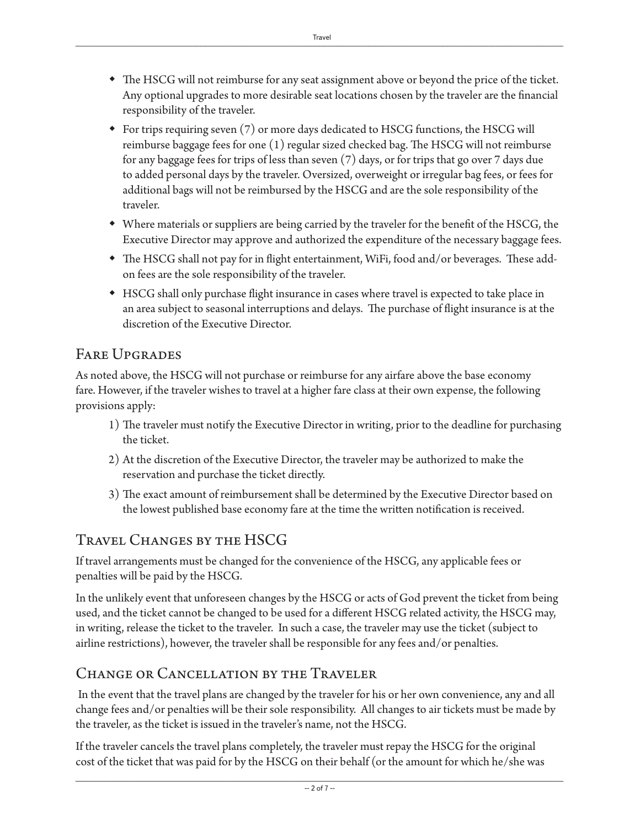- The HSCG will not reimburse for any seat assignment above or beyond the price of the ticket. Any optional upgrades to more desirable seat locations chosen by the traveler are the financial responsibility of the traveler.
- For trips requiring seven (7) or more days dedicated to HSCG functions, the HSCG will reimburse baggage fees for one (1) regular sized checked bag. The HSCG will not reimburse for any baggage fees for trips of less than seven (7) days, or for trips that go over 7 days due to added personal days by the traveler. Oversized, overweight or irregular bag fees, or fees for additional bags will not be reimbursed by the HSCG and are the sole responsibility of the traveler.
- Where materials or suppliers are being carried by the traveler for the benefit of the HSCG, the Executive Director may approve and authorized the expenditure of the necessary baggage fees.
- The HSCG shall not pay for in flight entertainment, WiFi, food and/or beverages. These addon fees are the sole responsibility of the traveler.
- HSCG shall only purchase flight insurance in cases where travel is expected to take place in an area subject to seasonal interruptions and delays. The purchase of flight insurance is at the discretion of the Executive Director.

### Fare Upgrades

As noted above, the HSCG will not purchase or reimburse for any airfare above the base economy fare. However, if the traveler wishes to travel at a higher fare class at their own expense, the following provisions apply:

- 1) The traveler must notify the Executive Director in writing, prior to the deadline for purchasing the ticket.
- 2) At the discretion of the Executive Director, the traveler may be authorized to make the reservation and purchase the ticket directly.
- 3) The exact amount of reimbursement shall be determined by the Executive Director based on the lowest published base economy fare at the time the written notification is received.

### Travel Changes by the HSCG

If travel arrangements must be changed for the convenience of the HSCG, any applicable fees or penalties will be paid by the HSCG.

In the unlikely event that unforeseen changes by the HSCG or acts of God prevent the ticket from being used, and the ticket cannot be changed to be used for a different HSCG related activity, the HSCG may, in writing, release the ticket to the traveler. In such a case, the traveler may use the ticket (subject to airline restrictions), however, the traveler shall be responsible for any fees and/or penalties.

#### Change or Cancellation by the Traveler

 In the event that the travel plans are changed by the traveler for his or her own convenience, any and all change fees and/or penalties will be their sole responsibility. All changes to air tickets must be made by the traveler, as the ticket is issued in the traveler's name, not the HSCG.

If the traveler cancels the travel plans completely, the traveler must repay the HSCG for the original cost of the ticket that was paid for by the HSCG on their behalf (or the amount for which he/she was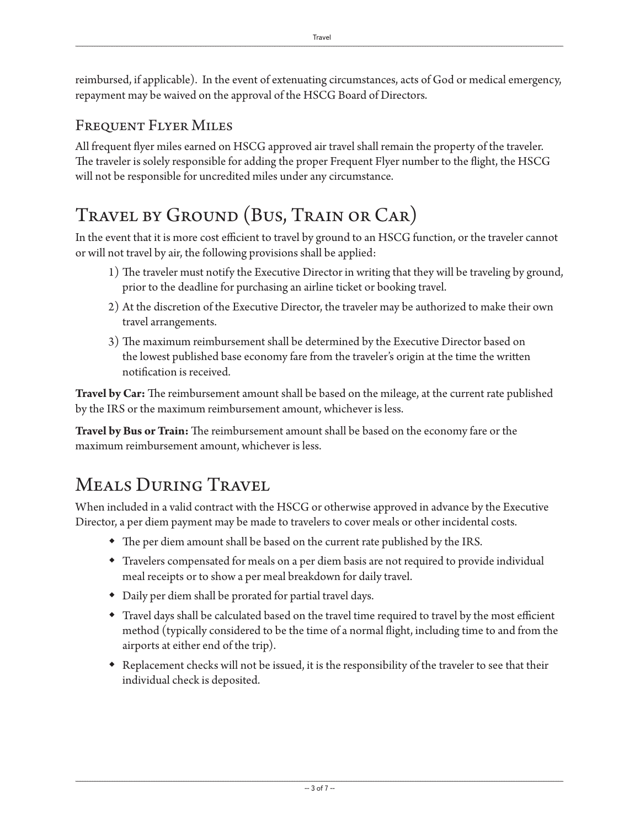reimbursed, if applicable). In the event of extenuating circumstances, acts of God or medical emergency, repayment may be waived on the approval of the HSCG Board of Directors.

#### Frequent Flyer Miles

All frequent flyer miles earned on HSCG approved air travel shall remain the property of the traveler. The traveler is solely responsible for adding the proper Frequent Flyer number to the flight, the HSCG will not be responsible for uncredited miles under any circumstance.

## Travel by Ground (Bus, Train or Car)

In the event that it is more cost efficient to travel by ground to an HSCG function, or the traveler cannot or will not travel by air, the following provisions shall be applied:

- 1) The traveler must notify the Executive Director in writing that they will be traveling by ground, prior to the deadline for purchasing an airline ticket or booking travel.
- 2) At the discretion of the Executive Director, the traveler may be authorized to make their own travel arrangements.
- 3) The maximum reimbursement shall be determined by the Executive Director based on the lowest published base economy fare from the traveler's origin at the time the written notification is received.

**Travel by Car:** The reimbursement amount shall be based on the mileage, at the current rate published by the IRS or the maximum reimbursement amount, whichever is less.

**Travel by Bus or Train:** The reimbursement amount shall be based on the economy fare or the maximum reimbursement amount, whichever is less.

## Meals During Travel

When included in a valid contract with the HSCG or otherwise approved in advance by the Executive Director, a per diem payment may be made to travelers to cover meals or other incidental costs.

- The per diem amount shall be based on the current rate published by the IRS.
- Travelers compensated for meals on a per diem basis are not required to provide individual meal receipts or to show a per meal breakdown for daily travel.
- Daily per diem shall be prorated for partial travel days.
- Travel days shall be calculated based on the travel time required to travel by the most efficient method (typically considered to be the time of a normal flight, including time to and from the airports at either end of the trip).
- Replacement checks will not be issued, it is the responsibility of the traveler to see that their individual check is deposited.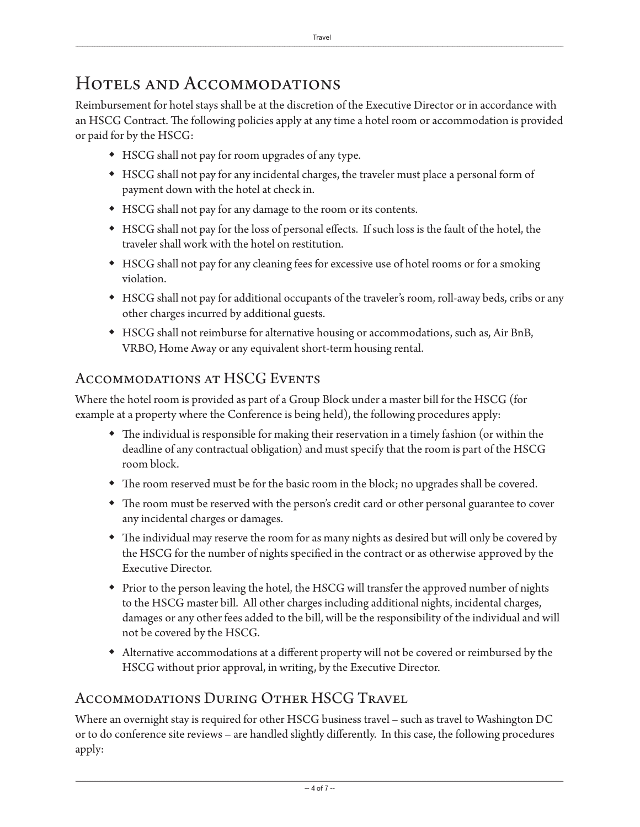### HOTELS AND ACCOMMODATIONS

Reimbursement for hotel stays shall be at the discretion of the Executive Director or in accordance with an HSCG Contract. The following policies apply at any time a hotel room or accommodation is provided or paid for by the HSCG:

- HSCG shall not pay for room upgrades of any type.
- HSCG shall not pay for any incidental charges, the traveler must place a personal form of payment down with the hotel at check in.
- HSCG shall not pay for any damage to the room or its contents.
- HSCG shall not pay for the loss of personal effects. If such loss is the fault of the hotel, the traveler shall work with the hotel on restitution.
- HSCG shall not pay for any cleaning fees for excessive use of hotel rooms or for a smoking violation.
- HSCG shall not pay for additional occupants of the traveler's room, roll-away beds, cribs or any other charges incurred by additional guests.
- HSCG shall not reimburse for alternative housing or accommodations, such as, Air BnB, VRBO, Home Away or any equivalent short-term housing rental.

### Accommodations at HSCG Events

Where the hotel room is provided as part of a Group Block under a master bill for the HSCG (for example at a property where the Conference is being held), the following procedures apply:

- The individual is responsible for making their reservation in a timely fashion (or within the deadline of any contractual obligation) and must specify that the room is part of the HSCG room block.
- The room reserved must be for the basic room in the block; no upgrades shall be covered.
- The room must be reserved with the person's credit card or other personal guarantee to cover any incidental charges or damages.
- The individual may reserve the room for as many nights as desired but will only be covered by the HSCG for the number of nights specified in the contract or as otherwise approved by the Executive Director.
- Prior to the person leaving the hotel, the HSCG will transfer the approved number of nights to the HSCG master bill. All other charges including additional nights, incidental charges, damages or any other fees added to the bill, will be the responsibility of the individual and will not be covered by the HSCG.
- Alternative accommodations at a different property will not be covered or reimbursed by the HSCG without prior approval, in writing, by the Executive Director.

### Accommodations During Other HSCG Travel

Where an overnight stay is required for other HSCG business travel – such as travel to Washington DC or to do conference site reviews – are handled slightly differently. In this case, the following procedures apply: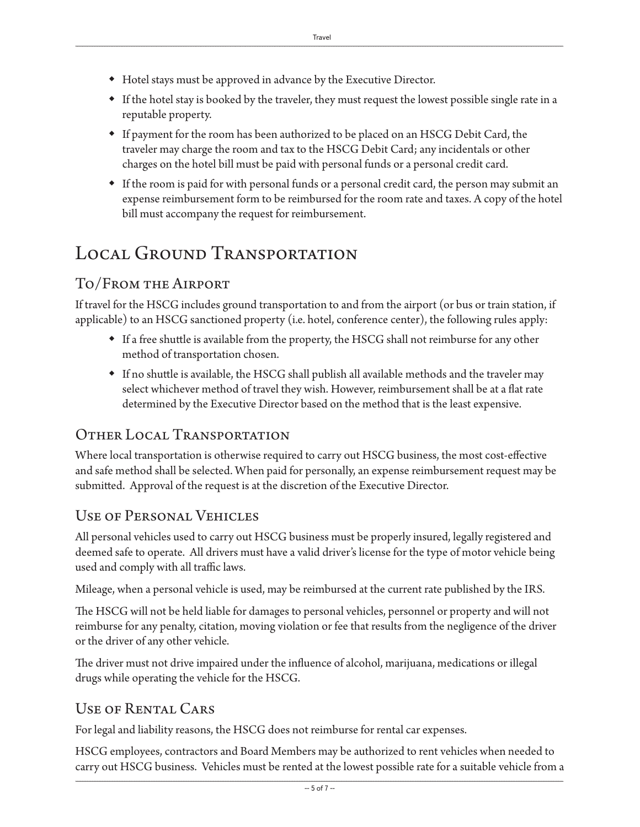- Hotel stays must be approved in advance by the Executive Director.
- If the hotel stay is booked by the traveler, they must request the lowest possible single rate in a reputable property.
- If payment for the room has been authorized to be placed on an HSCG Debit Card, the traveler may charge the room and tax to the HSCG Debit Card; any incidentals or other charges on the hotel bill must be paid with personal funds or a personal credit card.
- If the room is paid for with personal funds or a personal credit card, the person may submit an expense reimbursement form to be reimbursed for the room rate and taxes. A copy of the hotel bill must accompany the request for reimbursement.

# LOCAL GROUND TRANSPORTATION

### To/From the Airport

If travel for the HSCG includes ground transportation to and from the airport (or bus or train station, if applicable) to an HSCG sanctioned property (i.e. hotel, conference center), the following rules apply:

- If a free shuttle is available from the property, the HSCG shall not reimburse for any other method of transportation chosen.
- If no shuttle is available, the HSCG shall publish all available methods and the traveler may select whichever method of travel they wish. However, reimbursement shall be at a flat rate determined by the Executive Director based on the method that is the least expensive.

#### Other Local Transportation

Where local transportation is otherwise required to carry out HSCG business, the most cost-effective and safe method shall be selected. When paid for personally, an expense reimbursement request may be submitted. Approval of the request is at the discretion of the Executive Director.

### Use of Personal Vehicles

All personal vehicles used to carry out HSCG business must be properly insured, legally registered and deemed safe to operate. All drivers must have a valid driver's license for the type of motor vehicle being used and comply with all traffic laws.

Mileage, when a personal vehicle is used, may be reimbursed at the current rate published by the IRS.

The HSCG will not be held liable for damages to personal vehicles, personnel or property and will not reimburse for any penalty, citation, moving violation or fee that results from the negligence of the driver or the driver of any other vehicle.

The driver must not drive impaired under the influence of alcohol, marijuana, medications or illegal drugs while operating the vehicle for the HSCG.

#### Use of Rental Cars

For legal and liability reasons, the HSCG does not reimburse for rental car expenses.

HSCG employees, contractors and Board Members may be authorized to rent vehicles when needed to carry out HSCG business. Vehicles must be rented at the lowest possible rate for a suitable vehicle from a